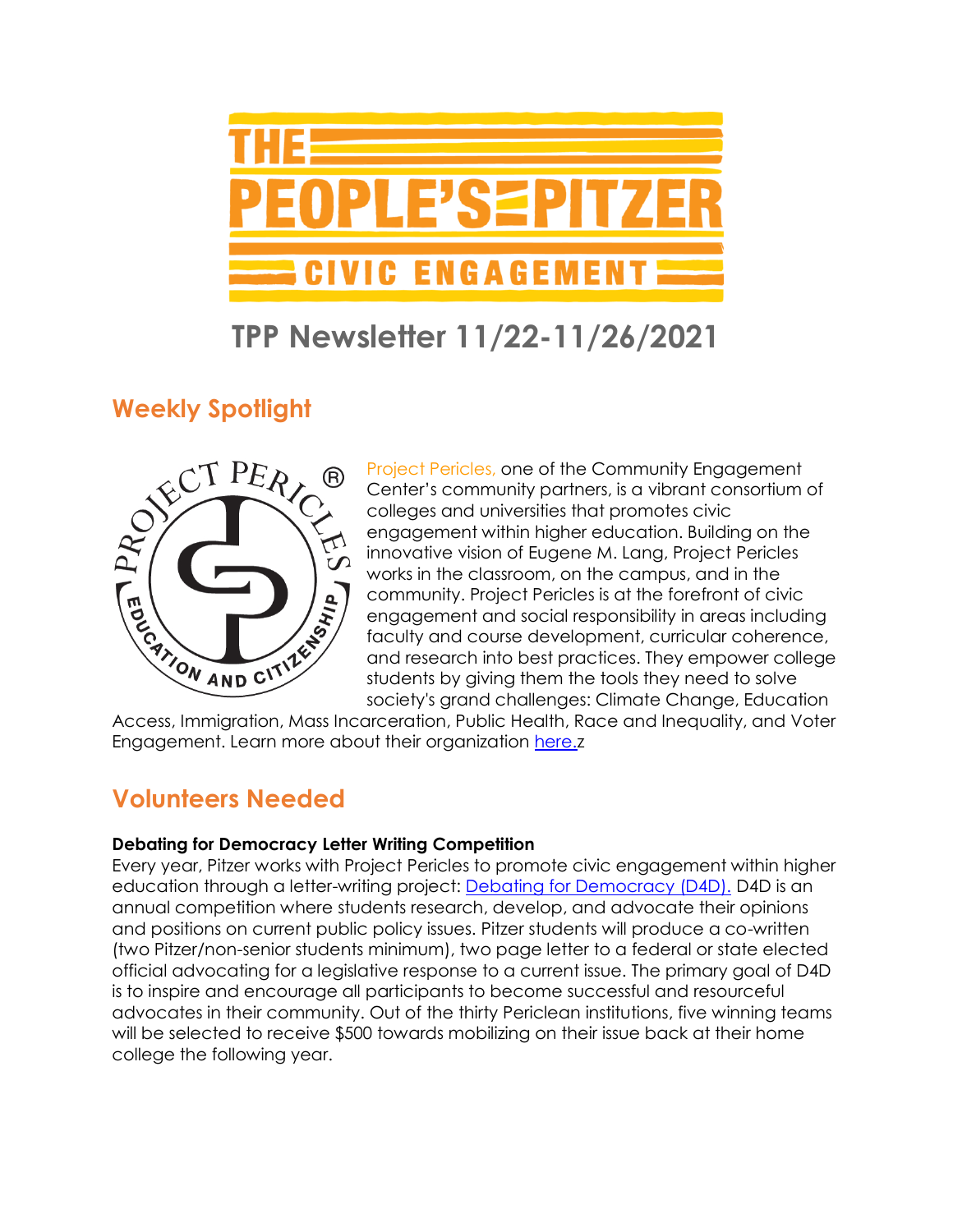

## **TPP Newsletter 11/22-11/26/2021**

## **Weekly Spotlight**



Project Pericles, one of the Community Engagement Center's community partners, is a vibrant consortium of colleges and universities that promotes civic engagement within higher education. Building on the innovative vision of Eugene M. Lang, Project Pericles works in the classroom, on the campus, and in the community. Project Pericles is at the forefront of civic engagement and social responsibility in areas including faculty and course development, curricular coherence, and research into best practices. They empower college students by giving them the tools they need to solve society's grand challenges: Climate Change, Education

Access, Immigration, Mass Incarceration, Public Health, Race and Inequality, and Voter Engagement. Learn more about their organization [here.z](https://www.projectpericles.org/debating-for-democracy-d4d.html)

### **Volunteers Needed**

#### **Debating for Democracy Letter Writing Competition**

Every year, Pitzer works with Project Pericles to promote civic engagement within higher education through a letter-writing project: [Debating for Democracy \(D4D\).](https://www.pitzer.edu/cec/community-pillars/peoples-pitzer/debating-democracy/) D4D is an annual competition where students research, develop, and advocate their opinions and positions on current public policy issues. Pitzer students will produce a co-written (two Pitzer/non-senior students minimum), two page letter to a federal or state elected official advocating for a legislative response to a current issue. The primary goal of D4D is to inspire and encourage all participants to become successful and resourceful advocates in their community. Out of the thirty Periclean institutions, five winning teams will be selected to receive \$500 towards mobilizing on their issue back at their home college the following year.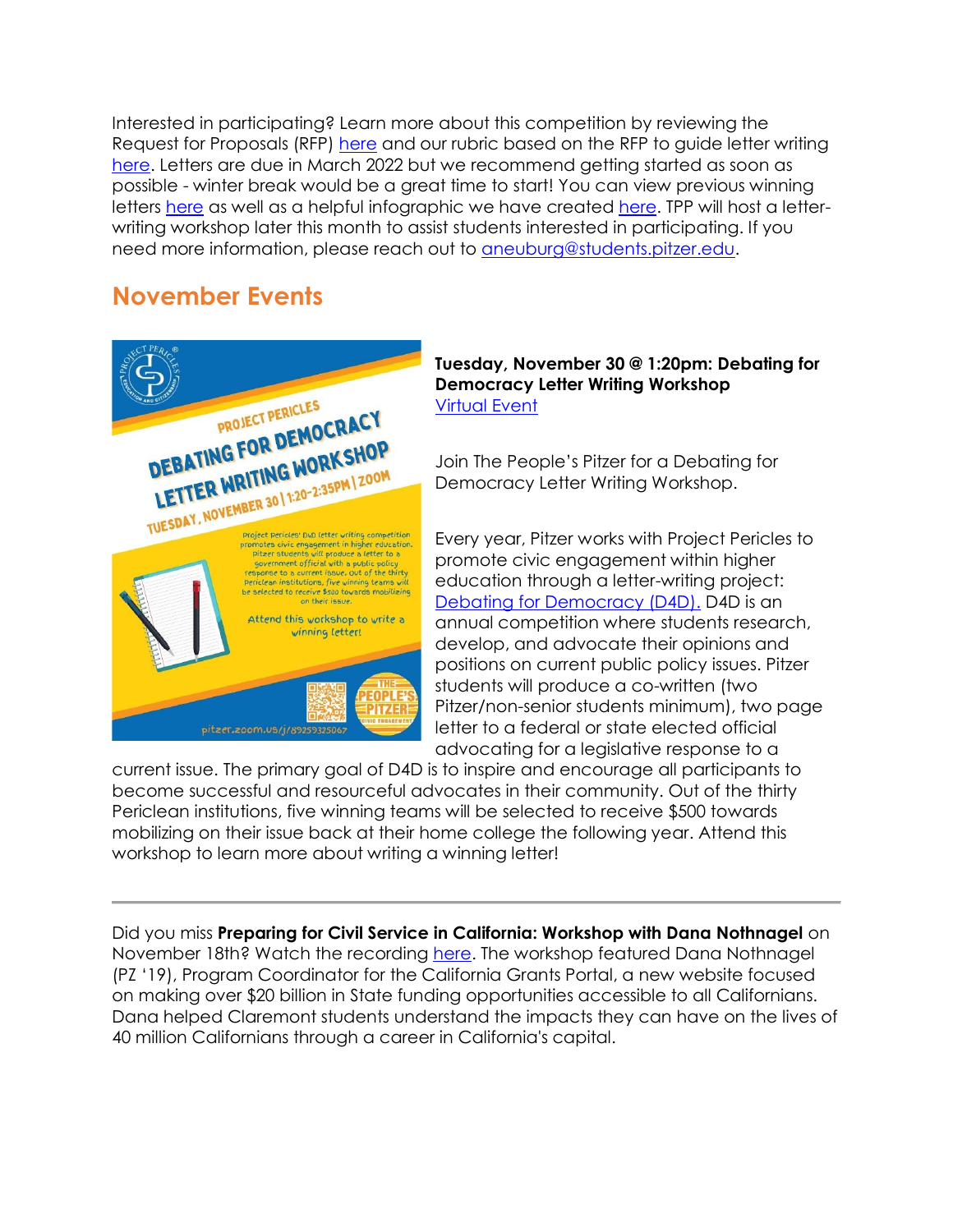Interested in participating? Learn more about this competition by reviewing the Request for Proposals (RFP) [here](https://drive.google.com/file/d/1l-2bH00Sbyn9_FxA-j7HVGQgs8Zd2w0S/view?usp=sharing) and our rubric based on the RFP to guide letter writing [here.](https://drive.google.com/drive/u/1/folders/1Mra8zjcQ3qfLdgs1VEx9o7WKGUZn29I8) Letters are due in March 2022 but we recommend getting started as soon as possible - winter break would be a great time to start! You can view previous winning letters [here](https://drive.google.com/drive/u/1/folders/18tiBphFq-Lrhr2OoR77evntyGY8dxgfY) as well as a helpful infographic we have created [here.](https://www.pitzer.edu/cec/wp-content/uploads/sites/54/2019/11/InfoGraphic.pdf) TPP will host a letterwriting workshop later this month to assist students interested in participating. If you need more information, please reach out to [aneuburg@students.pitzer.edu.](mailto:aneuburg@students.pitzer.edu)

#### **November Events**



#### **Tuesday, November 30 @ 1:20pm: Debating for Democracy Letter Writing Workshop** [Virtual Event](https://pitzer.zoom.us/j/89259325067)

Join The People's Pitzer for a Debating for Democracy Letter Writing Workshop.

Every year, Pitzer works with Project Pericles to promote civic engagement within higher education through a letter-writing project: [Debating for Democracy \(D4D\).](https://www.pitzer.edu/cec/community-pillars/peoples-pitzer/debating-democracy/) D4D is an annual competition where students research, develop, and advocate their opinions and positions on current public policy issues. Pitzer students will produce a co-written (two Pitzer/non-senior students minimum), two page letter to a federal or state elected official advocating for a legislative response to a

current issue. The primary goal of D4D is to inspire and encourage all participants to become successful and resourceful advocates in their community. Out of the thirty Periclean institutions, five winning teams will be selected to receive \$500 towards mobilizing on their issue back at their home college the following year. Attend this workshop to learn more about writing a winning letter!

Did you miss **Preparing for Civil Service in California: Workshop with Dana Nothnagel** on November 18th? Watch the recording [here.](https://youtu.be/cJxGv8LqgR0) The workshop featured Dana Nothnagel (PZ '19), Program Coordinator for the California Grants Portal, a new website focused on making over \$20 billion in State funding opportunities accessible to all Californians. Dana helped Claremont students understand the impacts they can have on the lives of 40 million Californians through a career in California's capital.